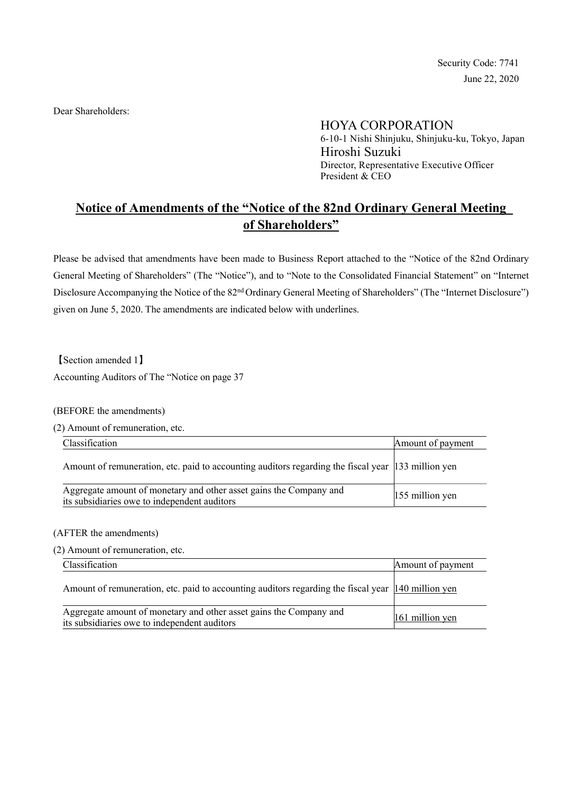Security Code: 7741 June 22, 2020

Dear Shareholders:

HOYA CORPORATION

6-10-1 Nishi Shinjuku, Shinjuku-ku, Tokyo, Japan Hiroshi Suzuki Director, Representative Executive Officer President & CEO

# Notice of Amendments of the "Notice of the 82nd Ordinary General Meeting of Shareholders"

Please be advised that amendments have been made to Business Report attached to the "Notice of the 82nd Ordinary General Meeting of Shareholders" (The "Notice"), and to "Note to the Consolidated Financial Statement" on "Internet Disclosure Accompanying the Notice of the 82<sup>nd</sup> Ordinary General Meeting of Shareholders" (The "Internet Disclosure") given on June 5, 2020. The amendments are indicated below with underlines.

【Section amended 1】 Accounting Auditors of The "Notice on page 37

## (BEFORE the amendments)

(2) Amount of remuneration, etc.

| Classification                                                                                                     | Amount of payment |
|--------------------------------------------------------------------------------------------------------------------|-------------------|
| Amount of remuneration, etc. paid to accounting auditors regarding the fiscal year [133 million yen]               |                   |
| Aggregate amount of monetary and other asset gains the Company and<br>its subsidiaries owe to independent auditors | 155 million yen   |

#### (AFTER the amendments)

(2) Amount of remuneration, etc.

| Classification                                                                                                     | Amount of payment |
|--------------------------------------------------------------------------------------------------------------------|-------------------|
| Amount of remuneration, etc. paid to accounting auditors regarding the fiscal year [140 million yen]               |                   |
| Aggregate amount of monetary and other asset gains the Company and<br>its subsidiaries owe to independent auditors | 161 million yen   |